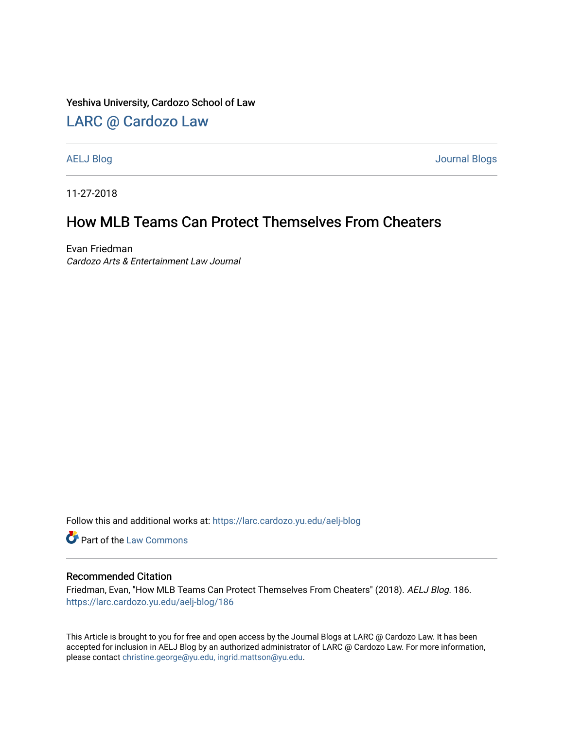Yeshiva University, Cardozo School of Law

## [LARC @ Cardozo Law](https://larc.cardozo.yu.edu/)

[AELJ Blog](https://larc.cardozo.yu.edu/aelj-blog) [Journal Blogs](https://larc.cardozo.yu.edu/journal-blogs) 

11-27-2018

## How MLB Teams Can Protect Themselves From Cheaters

Evan Friedman Cardozo Arts & Entertainment Law Journal

Follow this and additional works at: [https://larc.cardozo.yu.edu/aelj-blog](https://larc.cardozo.yu.edu/aelj-blog?utm_source=larc.cardozo.yu.edu%2Faelj-blog%2F186&utm_medium=PDF&utm_campaign=PDFCoverPages) 

Part of the [Law Commons](http://network.bepress.com/hgg/discipline/578?utm_source=larc.cardozo.yu.edu%2Faelj-blog%2F186&utm_medium=PDF&utm_campaign=PDFCoverPages)

## Recommended Citation

Friedman, Evan, "How MLB Teams Can Protect Themselves From Cheaters" (2018). AELJ Blog. 186. [https://larc.cardozo.yu.edu/aelj-blog/186](https://larc.cardozo.yu.edu/aelj-blog/186?utm_source=larc.cardozo.yu.edu%2Faelj-blog%2F186&utm_medium=PDF&utm_campaign=PDFCoverPages) 

This Article is brought to you for free and open access by the Journal Blogs at LARC @ Cardozo Law. It has been accepted for inclusion in AELJ Blog by an authorized administrator of LARC @ Cardozo Law. For more information, please contact [christine.george@yu.edu, ingrid.mattson@yu.edu.](mailto:christine.george@yu.edu,%20ingrid.mattson@yu.edu)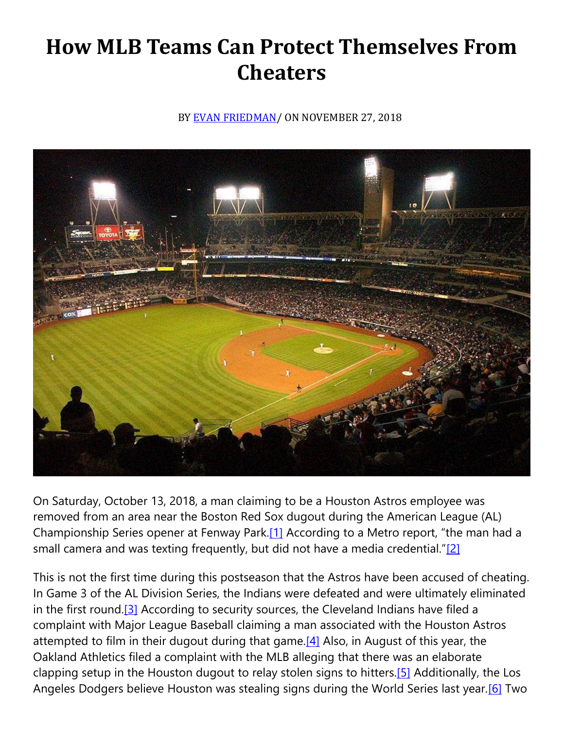## **How MLB Teams Can Protect Themselves From Cheaters**

BY [EVAN FRIEDMAN/](https://cardozoaelj.com/author/evan-friedman/) ON NOVEMBER 27, 2018



On Saturday, October 13, 2018, a man claiming to be a Houston Astros employee was removed from an area near the Boston Red Sox dugout during the American League (AL) Championship Series opener at Fenway Park[.\[1\]](https://cardozoaelj.com/2018/11/27/mlb-teams-can-protect-cheaters/#_ftn1) According to a Metro report, "the man had a small camera and was texting frequently, but did not have a media credential." $[2]$ 

This is not the first time during this postseason that the Astros have been accused of cheating. In Game 3 of the AL Division Series, the Indians were defeated and were ultimately eliminated in the first round.<sup>[3]</sup> According to security sources, the Cleveland Indians have filed a complaint with Major League Baseball claiming a man associated with the Houston Astros attempted to film in their dugout during that game.  $[4]$  Also, in August of this year, the Oakland Athletics filed a complaint with the MLB alleging that there was an elaborate clapping setup in the Houston dugout to relay stolen signs to hitter[s.\[5\]](https://cardozoaelj.com/2018/11/27/mlb-teams-can-protect-cheaters/#_ftn5) Additionally, the Los Angeles Dodgers believe Houston was stealing signs during the World Series last year[.\[6\]](https://cardozoaelj.com/2018/11/27/mlb-teams-can-protect-cheaters/#_ftn6) Two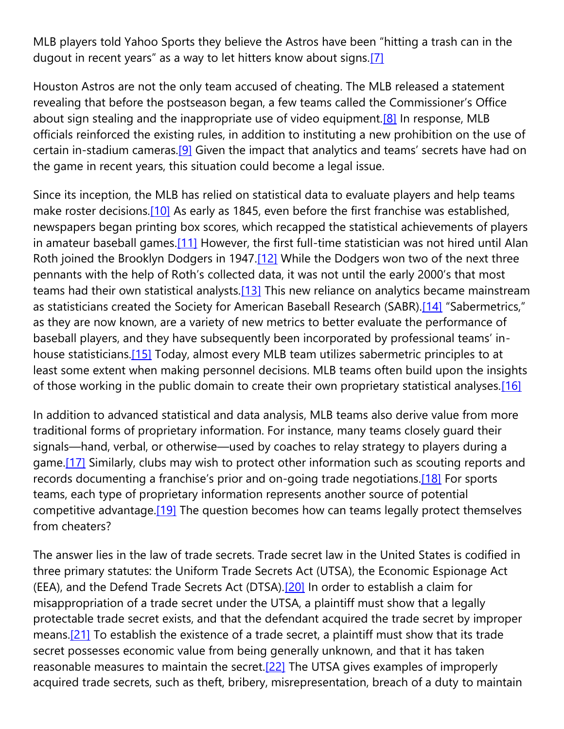MLB players told Yahoo Sports they believe the Astros have been "hitting a trash can in the dugout in recent years" as a way to let hitters know about signs.<sup>[\[7\]](https://cardozoaelj.com/2018/11/27/mlb-teams-can-protect-cheaters/#_ftn7)</sup>

Houston Astros are not the only team accused of cheating. The MLB released a statement revealing that before the postseason began, a few teams called the Commissioner's Office about sign stealing and the inappropriate use of video equipment.<sup>[8]</sup> In response, MLB officials reinforced the existing rules, in addition to instituting a new prohibition on the use of certain in-stadium cameras.<sup>[9]</sup> Given the impact that analytics and teams' secrets have had on the game in recent years, this situation could become a legal issue.

Since its inception, the MLB has relied on statistical data to evaluate players and help teams make roster decisions[.\[10\]](https://cardozoaelj.com/2018/11/27/mlb-teams-can-protect-cheaters/#_ftn10) As early as 1845, even before the first franchise was established, newspapers began printing box scores, which recapped the statistical achievements of players in amateur baseball games[.\[11\]](https://cardozoaelj.com/2018/11/27/mlb-teams-can-protect-cheaters/#_ftn11) However, the first full-time statistician was not hired until Alan Roth joined the Brooklyn Dodgers in 1947[.\[12\]](https://cardozoaelj.com/2018/11/27/mlb-teams-can-protect-cheaters/#_ftn12) While the Dodgers won two of the next three pennants with the help of Roth's collected data, it was not until the early 2000's that most teams had their own statistical analysts[.\[13\]](https://cardozoaelj.com/2018/11/27/mlb-teams-can-protect-cheaters/#_ftn13) This new reliance on analytics became mainstream as statisticians created the Society for American Baseball Research (SABR).<sup>[14]</sup> "Sabermetrics," as they are now known, are a variety of new metrics to better evaluate the performance of baseball players, and they have subsequently been incorporated by professional teams' inhouse statisticians.<sup>[15]</sup> Today, almost every MLB team utilizes sabermetric principles to at least some extent when making personnel decisions. MLB teams often build upon the insights of those working in the public domain to create their own proprietary statistical analyses.<sup>[16]</sup>

In addition to advanced statistical and data analysis, MLB teams also derive value from more traditional forms of proprietary information. For instance, many teams closely guard their signals—hand, verbal, or otherwise—used by coaches to relay strategy to players during a game.<sup>[17]</sup> Similarly, clubs may wish to protect other information such as scouting reports and records documenting a franchise's prior and on-going trade negotiations.<sup>[18]</sup> For sports teams, each type of proprietary information represents another source of potential competitive advantage.<sup>[19]</sup> The question becomes how can teams legally protect themselves from cheaters?

The answer lies in the law of trade secrets. Trade secret law in the United States is codified in three primary statutes: the Uniform Trade Secrets Act (UTSA), the Economic Espionage Act (EEA), and the Defend Trade Secrets Act (DTSA)[.\[20\]](https://cardozoaelj.com/2018/11/27/mlb-teams-can-protect-cheaters/#_ftn20) In order to establish a claim for misappropriation of a trade secret under the UTSA, a plaintiff must show that a legally protectable trade secret exists, and that the defendant acquired the trade secret by improper means[.\[21\]](https://cardozoaelj.com/2018/11/27/mlb-teams-can-protect-cheaters/#_ftn21) To establish the existence of a trade secret, a plaintiff must show that its trade secret possesses economic value from being generally unknown, and that it has taken reasonable measures to maintain the secret.<sup>[22]</sup> The UTSA gives examples of improperly acquired trade secrets, such as theft, bribery, misrepresentation, breach of a duty to maintain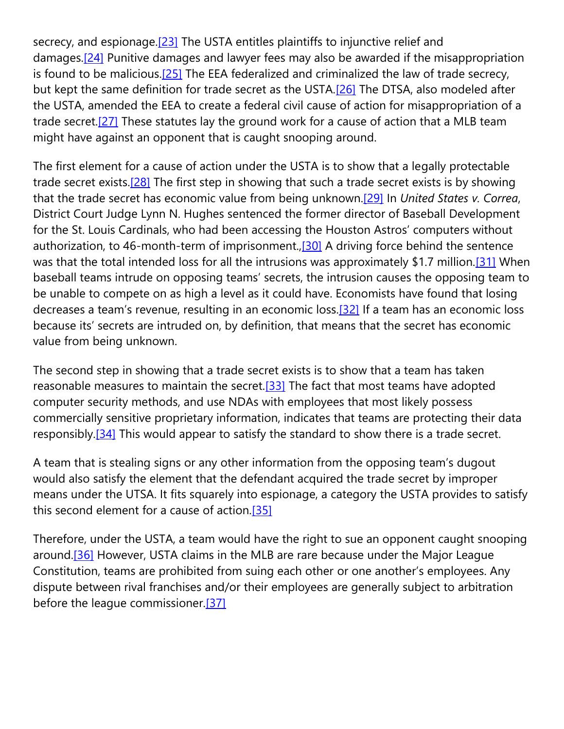secrecy, and espionage.<sup>[23]</sup> The USTA entitles plaintiffs to injunctive relief and damages[.\[24\]](https://cardozoaelj.com/2018/11/27/mlb-teams-can-protect-cheaters/#_ftn24) Punitive damages and lawyer fees may also be awarded if the misappropriation is found to be malicious. $[25]$  The EEA federalized and criminalized the law of trade secrecy, but kept the same definition for trade secret as the USTA[.\[26\]](https://cardozoaelj.com/2018/11/27/mlb-teams-can-protect-cheaters/#_ftn26) The DTSA, also modeled after the USTA, amended the EEA to create a federal civil cause of action for misappropriation of a trade secret[.\[27\]](https://cardozoaelj.com/2018/11/27/mlb-teams-can-protect-cheaters/#_ftn27) These statutes lay the ground work for a cause of action that a MLB team might have against an opponent that is caught snooping around.

The first element for a cause of action under the USTA is to show that a legally protectable trade secret exists.<sup>[28]</sup> The first step in showing that such a trade secret exists is by showing that the trade secret has economic value from being unknown[.\[29\]](https://cardozoaelj.com/2018/11/27/mlb-teams-can-protect-cheaters/#_ftn29) In *United States v. Correa*, District Court Judge Lynn N. Hughes sentenced the former director of Baseball Development for the St. Louis Cardinals, who had been accessing the Houston Astros' computers without authorization, to 46-month-term of imprisonment., [30] A driving force behind the sentence was that the total intended loss for all the intrusions was approximately \$1.7 million.<sup>[31]</sup> When baseball teams intrude on opposing teams' secrets, the intrusion causes the opposing team to be unable to compete on as high a level as it could have. Economists have found that losing decreases a team's revenue, resulting in an economic loss.[\[32\]](https://cardozoaelj.com/2018/11/27/mlb-teams-can-protect-cheaters/#_ftn32) If a team has an economic loss because its' secrets are intruded on, by definition, that means that the secret has economic value from being unknown.

The second step in showing that a trade secret exists is to show that a team has taken reasonable measures to maintain the secret. $[33]$  The fact that most teams have adopted computer security methods, and use NDAs with employees that most likely possess commercially sensitive proprietary information, indicates that teams are protecting their data responsibly.<sup>[34]</sup> This would appear to satisfy the standard to show there is a trade secret.

A team that is stealing signs or any other information from the opposing team's dugout would also satisfy the element that the defendant acquired the trade secret by improper means under the UTSA. It fits squarely into espionage, a category the USTA provides to satisfy this second element for a cause of action[.\[35\]](https://cardozoaelj.com/2018/11/27/mlb-teams-can-protect-cheaters/#_ftn35)

Therefore, under the USTA, a team would have the right to sue an opponent caught snooping around.<sup>[36]</sup> However, USTA claims in the MLB are rare because under the Major League Constitution, teams are prohibited from suing each other or one another's employees. Any dispute between rival franchises and/or their employees are generally subject to arbitration before the league commissioner[.\[37\]](https://cardozoaelj.com/2018/11/27/mlb-teams-can-protect-cheaters/#_ftn37)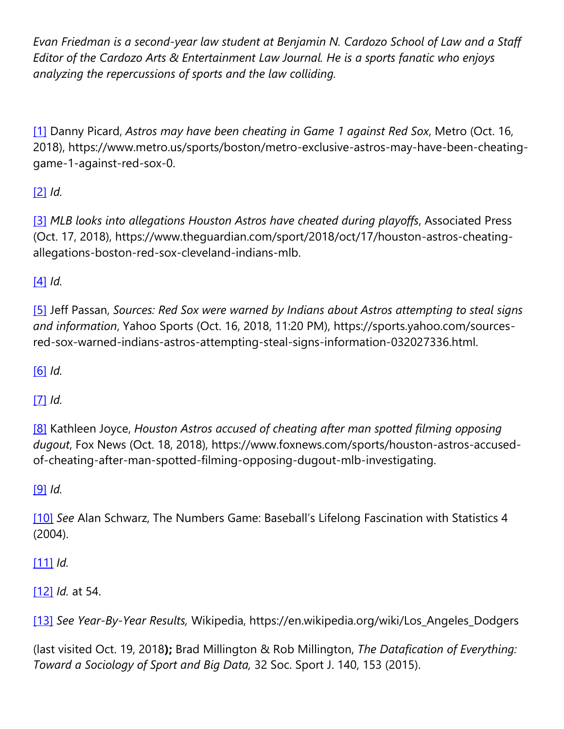*Evan Friedman is a second-year law student at Benjamin N. Cardozo School of Law and a Staff Editor of the Cardozo Arts & Entertainment Law Journal. He is a sports fanatic who enjoys analyzing the repercussions of sports and the law colliding.*

[\[1\]](https://cardozoaelj.com/2018/11/27/mlb-teams-can-protect-cheaters/#_ftnref1) Danny Picard, *Astros may have been cheating in Game 1 against Red Sox*, Metro (Oct. 16, 2018), https://www.metro.us/sports/boston/metro-exclusive-astros-may-have-been-cheatinggame-1-against-red-sox-0.

[\[2\]](https://cardozoaelj.com/2018/11/27/mlb-teams-can-protect-cheaters/#_ftnref2) *Id.*

[\[3\]](https://cardozoaelj.com/2018/11/27/mlb-teams-can-protect-cheaters/#_ftnref3) *MLB looks into allegations Houston Astros have cheated during playoffs*, Associated Press (Oct. 17, 2018), https://www.theguardian.com/sport/2018/oct/17/houston-astros-cheatingallegations-boston-red-sox-cleveland-indians-mlb.

[\[4\]](https://cardozoaelj.com/2018/11/27/mlb-teams-can-protect-cheaters/#_ftnref4) *Id.*

[\[5\]](https://cardozoaelj.com/2018/11/27/mlb-teams-can-protect-cheaters/#_ftnref5) Jeff Passan, *Sources: Red Sox were warned by Indians about Astros attempting to steal signs and information*, Yahoo Sports (Oct. 16, 2018, 11:20 PM), https://sports.yahoo.com/sourcesred-sox-warned-indians-astros-attempting-steal-signs-information-032027336.html.

[\[6\]](https://cardozoaelj.com/2018/11/27/mlb-teams-can-protect-cheaters/#_ftnref6) *Id.*

[\[7\]](https://cardozoaelj.com/2018/11/27/mlb-teams-can-protect-cheaters/#_ftnref7) *Id.*

[\[8\]](https://cardozoaelj.com/2018/11/27/mlb-teams-can-protect-cheaters/#_ftnref8) Kathleen Joyce, *Houston Astros accused of cheating after man spotted filming opposing dugout*, Fox News (Oct. 18, 2018), https://www.foxnews.com/sports/houston-astros-accusedof-cheating-after-man-spotted-filming-opposing-dugout-mlb-investigating.

[\[9\]](https://cardozoaelj.com/2018/11/27/mlb-teams-can-protect-cheaters/#_ftnref9) *Id.*

[\[10\]](https://cardozoaelj.com/2018/11/27/mlb-teams-can-protect-cheaters/#_ftnref10) *See* Alan Schwarz, The Numbers Game: Baseball's Lifelong Fascination with Statistics 4 (2004).

[\[11\]](https://cardozoaelj.com/2018/11/27/mlb-teams-can-protect-cheaters/#_ftnref11) *Id.*

[\[12\]](https://cardozoaelj.com/2018/11/27/mlb-teams-can-protect-cheaters/#_ftnref12) *Id.* at 54.

[\[13\]](https://cardozoaelj.com/2018/11/27/mlb-teams-can-protect-cheaters/#_ftnref13) *See Year-By-Year Results,* Wikipedia, https://en.wikipedia.org/wiki/Los\_Angeles\_Dodgers

(last visited Oct. 19, 2018**);** Brad Millington & Rob Millington, *The Datafication of Everything: Toward a Sociology of Sport and Big Data,* 32 Soc. Sport J. 140, 153 (2015).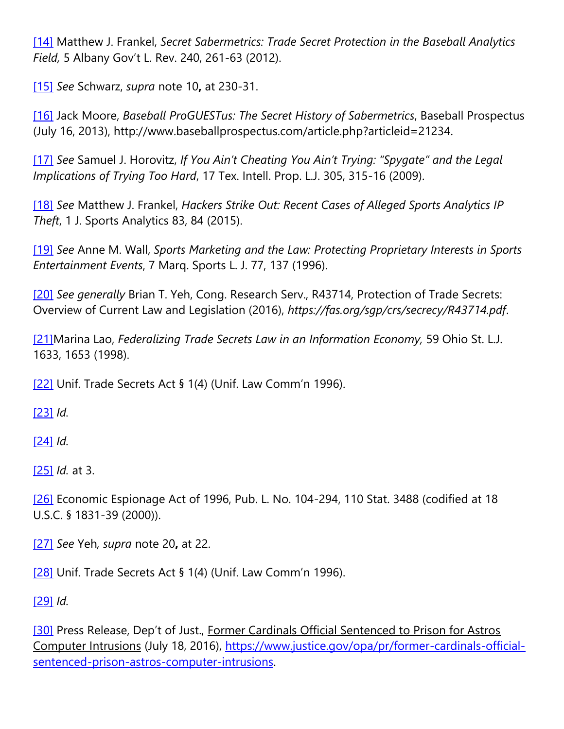[\[14\]](https://cardozoaelj.com/2018/11/27/mlb-teams-can-protect-cheaters/#_ftnref14) Matthew J. Frankel, *Secret Sabermetrics: Trade Secret Protection in the Baseball Analytics Field,* 5 Albany Gov't L. Rev. 240, 261-63 (2012).

[\[15\]](https://cardozoaelj.com/2018/11/27/mlb-teams-can-protect-cheaters/#_ftnref15) *See* Schwarz, *supra* note 10**,** at 230-31.

[\[16\]](https://cardozoaelj.com/2018/11/27/mlb-teams-can-protect-cheaters/#_ftnref16) Jack Moore, *Baseball ProGUESTus: The Secret History of Sabermetrics*, Baseball Prospectus (July 16, 2013), http://www.baseballprospectus.com/article.php?articleid=21234.

[\[17\]](https://cardozoaelj.com/2018/11/27/mlb-teams-can-protect-cheaters/#_ftnref17) *See* Samuel J. Horovitz, *If You Ain't Cheating You Ain't Trying: "Spygate" and the Legal Implications of Trying Too Hard*, 17 Tex. Intell. Prop. L.J. 305, 315-16 (2009).

[\[18\]](https://cardozoaelj.com/2018/11/27/mlb-teams-can-protect-cheaters/#_ftnref18) *See* Matthew J. Frankel, *Hackers Strike Out: Recent Cases of Alleged Sports Analytics IP Theft*, 1 J. Sports Analytics 83, 84 (2015).

[\[19\]](https://cardozoaelj.com/2018/11/27/mlb-teams-can-protect-cheaters/#_ftnref19) *See* Anne M. Wall, *Sports Marketing and the Law: Protecting Proprietary Interests in Sports Entertainment Events*, 7 Marq. Sports L. J. 77, 137 (1996).

[\[20\]](https://cardozoaelj.com/2018/11/27/mlb-teams-can-protect-cheaters/#_ftnref20) *See generally* Brian T. Yeh, Cong. Research Serv., R43714, Protection of Trade Secrets: Overview of Current Law and Legislation (2016), *https://fas.org/sgp/crs/secrecy/R43714.pdf*.

[\[21\]M](https://cardozoaelj.com/2018/11/27/mlb-teams-can-protect-cheaters/#_ftnref21)arina Lao, *Federalizing Trade Secrets Law in an Information Economy,* 59 Ohio St. L.J. 1633, 1653 (1998).

[\[22\]](https://cardozoaelj.com/2018/11/27/mlb-teams-can-protect-cheaters/#_ftnref22) Unif. Trade Secrets Act § 1(4) (Unif. Law Comm'n 1996).

[\[23\]](https://cardozoaelj.com/2018/11/27/mlb-teams-can-protect-cheaters/#_ftnref23) *Id.*

[\[24\]](https://cardozoaelj.com/2018/11/27/mlb-teams-can-protect-cheaters/#_ftnref24) *Id.*

[\[25\]](https://cardozoaelj.com/2018/11/27/mlb-teams-can-protect-cheaters/#_ftnref25) *Id.* at 3.

[\[26\]](https://cardozoaelj.com/2018/11/27/mlb-teams-can-protect-cheaters/#_ftnref26) Economic Espionage Act of 1996, Pub. L. No. 104-294, 110 Stat. 3488 (codified at 18 U.S.C. § 1831-39 (2000)).

[\[27\]](https://cardozoaelj.com/2018/11/27/mlb-teams-can-protect-cheaters/#_ftnref27) *See* Yeh*, supra* note 20**,** at 22.

[\[28\]](https://cardozoaelj.com/2018/11/27/mlb-teams-can-protect-cheaters/#_ftnref28) Unif. Trade Secrets Act § 1(4) (Unif. Law Comm'n 1996).

[\[29\]](https://cardozoaelj.com/2018/11/27/mlb-teams-can-protect-cheaters/#_ftnref29) *Id.*

[\[30\]](https://cardozoaelj.com/2018/11/27/mlb-teams-can-protect-cheaters/#_ftnref30) Press Release, Dep't of Just., Former Cardinals Official Sentenced to Prison for Astros Computer Intrusions (July 18, 2016), [https://www.justice.gov/opa/pr/former-cardinals-official](https://www.justice.gov/opa/pr/former-cardinals-official-sentenced-prison-astros-computer-intrusions)[sentenced-prison-astros-computer-intrusions.](https://www.justice.gov/opa/pr/former-cardinals-official-sentenced-prison-astros-computer-intrusions)